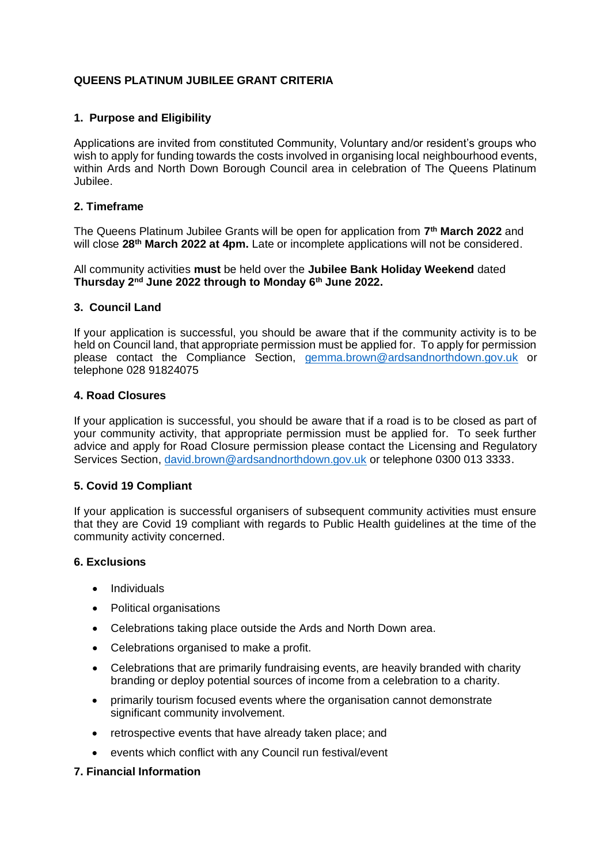# **QUEENS PLATINUM JUBILEE GRANT CRITERIA**

## **1. Purpose and Eligibility**

Applications are invited from constituted Community, Voluntary and/or resident's groups who wish to apply for funding towards the costs involved in organising local neighbourhood events, within Ards and North Down Borough Council area in celebration of The Queens Platinum Jubilee.

### **2. Timeframe**

The Queens Platinum Jubilee Grants will be open for application from **7 th March 2022** and will close **28th March 2022 at 4pm.** Late or incomplete applications will not be considered.

All community activities **must** be held over the **Jubilee Bank Holiday Weekend** dated **Thursday 2nd June 2022 through to Monday 6th June 2022.**

### **3. Council Land**

If your application is successful, you should be aware that if the community activity is to be held on Council land, that appropriate permission must be applied for. To apply for permission please contact the Compliance Section, [gemma.brown@ardsandnorthdown.gov.uk](mailto:gemma.brown@ardsandnorthdown.gov.uk) or telephone 028 91824075

### **4. Road Closures**

If your application is successful, you should be aware that if a road is to be closed as part of your community activity, that appropriate permission must be applied for. To seek further advice and apply for Road Closure permission please contact the Licensing and Regulatory Services Section, [david.brown@ardsandnorthdown.gov.uk](mailto:david.brown@ardsandnorthdown.gov.uk) or telephone 0300 013 3333.

#### **5. Covid 19 Compliant**

If your application is successful organisers of subsequent community activities must ensure that they are Covid 19 compliant with regards to Public Health guidelines at the time of the community activity concerned.

#### **6. Exclusions**

- Individuals
- Political organisations
- Celebrations taking place outside the Ards and North Down area.
- Celebrations organised to make a profit.
- Celebrations that are primarily fundraising events, are heavily branded with charity branding or deploy potential sources of income from a celebration to a charity.
- primarily tourism focused events where the organisation cannot demonstrate significant community involvement.
- retrospective events that have already taken place; and
- events which conflict with any Council run festival/event

#### **7. Financial Information**